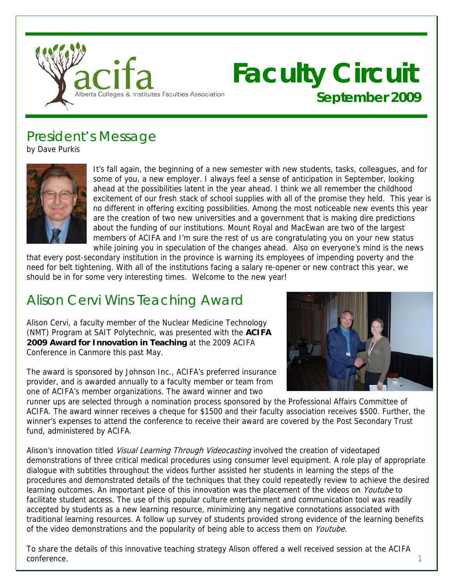

# **Faculty Circuit September 2009**

## President's Message

by Dave Purkis



It's fall again, the beginning of a new semester with new students, tasks, colleagues, and for some of you, a new employer. I always feel a sense of anticipation in September, looking ahead at the possibilities latent in the year ahead. I think we all remember the childhood excitement of our fresh stack of school supplies with all of the promise they held. This year is no different in offering exciting possibilities. Among the most noticeable new events this year are the creation of two new universities and a govern ment that is making dire predictions about the funding of our institutions. Mount Royal and MacEwan are two of the largest members of ACIFA and I'm sure the rest of us are congra tulating you on your new status while joining you in speculation of the changes ahead . Also on everyone's mind is the news

that every post-secondary institution in the province is warning its em ployees of impending poverty and the need for belt tightening. With all of the institutions facing a salary re -opener or new contract this year, we should be in for some very interesting times. Welcome to the new year!

# Alison Cervi Wins Teaching Award

Alison Cervi, a faculty member of the Nuclear Medicine Technology (NMT) Program at SAIT Polytechnic, was presented with the **ACIFA 2009 Award for Innovation in Teaching** at the 2009 ACIFA Conference in Canmore this past May.



The award is sponsored by Johnson Inc., ACIFA's preferred insurance provider, and is awarded annually to a faculty member or team from one of ACIFA's member organizations. The award winner and two

runner ups are selected through a nomination process sponsored by the Professional Affairs Committee of ACIFA. The award winner receives a cheque for \$1500 and their faculty association receives \$500. Further, the winner's expenses to attend the conference to receive their award are covered by the Post Secondary Trust fund, administered by ACIFA.

Alison's innovation titled *Visual Learning Through Videocasting* involved the creation of videotaped demonstrations of three critical medical procedures using consumer level equipment. A role play of appropriate dialogue with subtitles throughout the videos further assisted her students in learning the steps of the procedures and demonstrated details of the techniques that they could repeatedly review to achieve the desired learning outcomes. An important piece of this innovation was the placement of the videos on Youtube to facilitate student access. The use of this popular culture entertainment and communication tool was readily accepted by students as a new learning resource, minimizing any negative connotations associated with traditional learning resources. A follow up survey of students provided strong evidence of the learning benefits of the video demonstrations and the popularity of being able to access them on *Youtube*.

To share the details of this innovative teaching strategy Alison offered a well received session at the ACIFA conference. the context of the context of the context of the context of the context of the context of the context of the context of the context of the context of the context of the context of the context of the context of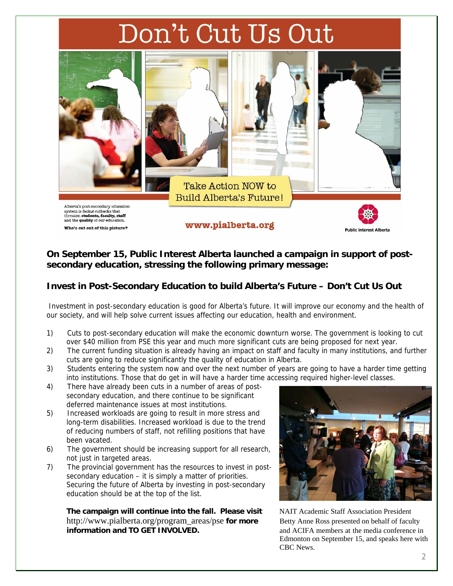# Don't Cut Us Out



## **On September 15, Public Interest Alberta launched a campaign in support of postsecondary education, stressing the following primary message:**

## **Invest in Post-Secondary Education to build Alberta's Future – Don't Cut Us Out**

 Investment in post-secondary education is good for Alberta's future. It will improve our economy and the health of our society, and will help solve current issues affecting our education, health and environment.

- 1) Cuts to post-secondary education will make the economic downturn worse. The government is looking to cut over \$40 million from PSE this year and much more significant cuts are being proposed for next year.
- 2) The current funding situation is already having an impact on staff and faculty in many institutions, and further cuts are going to reduce significantly the quality of education in Alberta.
- 3) Students entering the system now and over the next number of years are going to have a harder time getting into institutions. Those that do get in will have a harder time accessing required higher-level classes.
- 4) There have already been cuts in a number of areas of postsecondary education, and there continue to be significant deferred maintenance issues at most institutions.
- 5) Increased workloads are going to result in more stress and long-term disabilities. Increased workload is due to the trend of reducing numbers of staff, not refilling positions that have been vacated.
- 6) The government should be increasing support for all research, not just in targeted areas.
- 7) The provincial government has the resources to invest in postsecondary education – it is simply a matter of priorities. Securing the future of Alberta by investing in post-secondary education should be at the top of the list.

**The campaign will continue into the fall. Please visit** NAIT Academic Staff Association President http://www.pialberta.org/program\_areas/pse **for more** Betty Anne Ross presented on behalf of faculty **information and TO GET INVOLVED. and ACIFA members at the media conference in** 



 Edmonton on September 15, and speaks here with CBC News.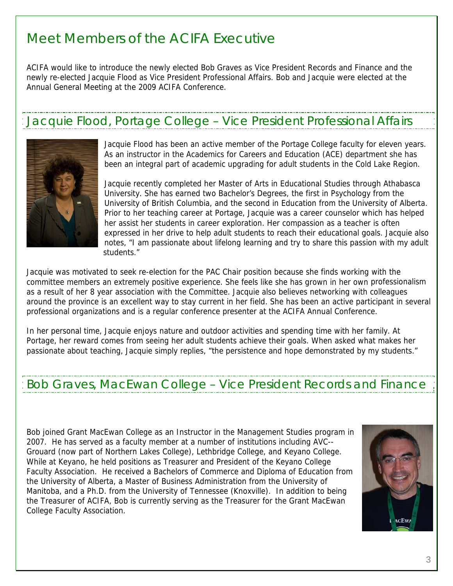# Meet Members of the ACIFA Executive

ACIFA would like to introduce the newly elected Bob Graves as Vice President Records and Finance and the newly re-elected Jacquie Flood as Vice President Professional Affairs. Bob and Jacquie were elected at the Annual General Meeting at the 2009 ACIFA Conference.

# Jacquie Flood, Portage College – Vice President Professional Affairs



Jacquie Flood has been an active member of the Portage College faculty for eleven years. As an instructor in the Academics for Careers and Education (ACE) department she has been an integral part of academic upgrading for adult students in the Cold Lake Region.

Jacquie recently completed her Master of Arts in Educational Studies through Athabasca University. She has earned two Bachelor's Degrees, the first in Psycholog y from the University of British Columbia, and the second in Education from the Uni versity of Alberta. Prior to her teaching career at Portage, Jacquie was a career counselor which has helped her assist her students in career exploration. Her compassion as a teacher is often expressed in her drive to help adult students to reach their educationa l goals. Jacquie also notes, "I am passionate about lifelong learning and try to share this pass ion with my adult students."

Jacquie was motivated to seek re-election for the PAC Chair position because she finds working with the committee members an extremely positive experience. She feels like she has grown in her own professionalism as a result of her 8 year association with the Committee. Jacquie also believes networking with colleagues around the province is an excellent way to stay current in her field. She has been an active participant in several professional organizations and is a regular conference presenter at the ACIFA Annual Conference.

In her personal time, Jacquie enjoys nature and outdoor activities and spending time with her family. At Portage, her reward comes from seeing her adult students achieve their goals. When asked what makes her passionate about teaching, Jacquie simply replies, "the persistence and hope demonstrated by my students."

## Bob Graves, MacEwan College – Vice President Records and Finance

Bob joined Grant MacEwan College as an Instructor in the Management Studies program in 2007. He has served as a faculty member at a number of institutions including AVC-- Grouard (now part of Northern Lakes College), Lethbridge College, and Keyano College. While at Keyano, he held positions as Treasurer and President of the Keyano College Faculty Association. He received a Bachelors of Commerce and Diploma of Education from the University of Alberta, a Master of Business Administration from the University of Manitoba, and a Ph.D. from the University of Tennessee (Knoxville). In addition to being the Treasurer of ACIFA, Bob is currently serving as the Treasurer for the Grant MacEwan College Faculty Association.

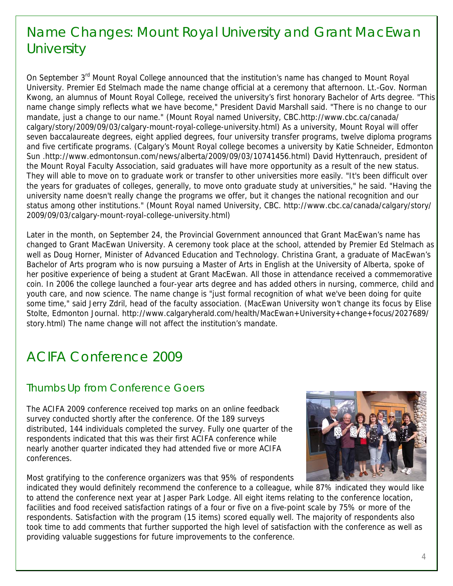# Name Changes: Mount Royal University and Grant MacEwan **University**

On September 3<sup>rd</sup> Mount Royal College announced that the institution's name has changed to Mount Royal University. Premier Ed Stelmach made the name change official at a ceremony that afternoon. Lt.-Gov. Norman Kwong, an alumnus of Mount Royal College, received the university's first honorary Bachelor of Arts degree. "This name change simply reflects what we have become," President David Marshall said. "There is no change to our mandate, just a change to our name." (Mount Royal named University, CBC.http://www.cbc.ca/canada/ calgary/story/2009/09/03/calgary-mount-royal-college-university.html) As a university, Mount Royal will offer seven baccalaureate degrees, eight applied degrees, four university transfer programs, twelve diploma programs and five certificate programs. (Calgary's Mount Royal college becomes a university by Katie Schneider, Edmonton Sun .http://www.edmontonsun.com/news/alberta/2009/09/03/10741456.html) David Hyttenrauch, president of the Mount Royal Faculty Association, said graduates will have more opportunity as a result of the new status. They will able to move on to graduate work or transfer to other universities more easily. "It's been difficult over the years for graduates of colleges, generally, to move onto graduate study a t universities," he said. "Having the university name doesn't really change the programs we offer, but it changes t he national recognition and our status among other institutions." (Mount Royal named University, CBC. h ttp://www.cbc.ca/canada/calgary/story/ 2009/09/03/calgary-mount-royal-college-university.html)

Later in the month, on September 24, the Provincial Government announced th at Grant MacEwan's name has changed to Grant MacEwan University. A ceremony took place at the school, attended by Premier Ed Stelmach as well as Doug Horner, Minister of Advanced Education and Technology. Christ ina Grant, a graduate of MacEwan's Bachelor of Arts program who is now pursuing a Master of Arts in English at the University of Alberta, spoke of her positive experience of being a student at Grant MacEwan. All those in attendance received a commemorative coin. In 2006 the college launched a four-year arts degree and has added others in nursing, commerce, child and youth care, and now science. The name change is "just formal recognition of what we've been doing for quite some time," said Jerry Zdril, head of the faculty association. (MacEwan University won't change its focus by Elise Stolte, Edmonton Journal. http://www.calgaryherald.com/health/MacEwan+University+change+focus/2027689/ story.html) The name change will not affect the institution's mandate.

# ACIFA Conference 2009

## Thumbs Up from Conference Goers

The ACIFA 2009 conference received top marks on an online feedback survey conducted shortly after the conference. Of the 189 surveys distributed, 144 individuals completed the survey. Fully one quarter of the respondents indicated that this was their first ACIFA conference while nearly another quarter indicated they had attended five or more ACIFA conferences.

Most gratifying to the conference organizers was that 95% of respondents



indicated they would definitely recommend the conference to a colleague, while 87% indicated they would like to attend the conference next year at Jasper Park Lodge. All eight items relating to the conference location, facilities and food received satisfaction ratings of a four or five on a five-point scale by 75% or more of the respondents. Satisfaction with the program (15 items) scored equally well. The majority of respondents also took time to add comments that further supported the high level of satisfaction with the conference as well as providing valuable suggestions for future improvements to the conference.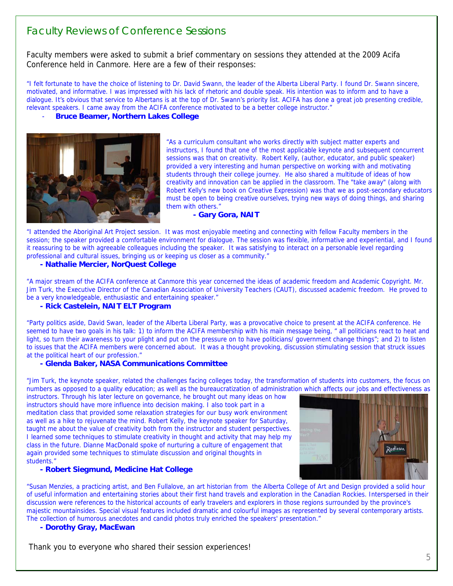## Faculty Reviews of Conference Sessions

Faculty members were asked to submit a brief commentary on sessions they attended at the 2009 Acifa Conference held in Canmore. Here are a few of their responses:

"I felt fortunate to have the choice of listening to Dr. David Swann, the leader of the Alberta Liberal Party. I found Dr. Swann sincere, motivated, and informative. I was impressed with his lack of rhetoric and double speak. His intention was to inform and to have a dialogue. It's obvious that service to Albertans is at the top of Dr. Swann's priority list. ACIFA has done a great job presenting credible, relevant speakers. I came away from the ACIFA conference motivated to be a better college instructor."

### - **Bruce Beamer, Northern Lakes College**



İ

"As a curriculum consultant who works directly with subject matter experts and instructors, I found that one of the most applicable keynote and subsequent concurrent sessions was that on creativity. Robert Kelly, (author, educator, and public speaker) provided a very interesting and human perspective on working with and motivating students through their college journey. He also shared a multitude of ideas of how creativity and innovation can be applied in the classroom. The "take away" (along with Robert Kelly's new book on Creative Expression) was that we as post-secondary educators must be open to being creative ourselves, trying new ways of doing things, and sharing them with others."

#### **- Gary Gora, NAIT**

"I attended the Aboriginal Art Project session. It was most enjoyable meeting and connecting with fellow Faculty members in the session; the speaker provided a comfortable environment for dialogue. The session was flexible, informative and experiential, and I found it reassuring to be with agreeable colleagues including the speaker. It was satisfying to interact on a personable level regarding professional and cultural issues, bringing us or keeping us closer as a community."

#### **- Nathalie Mercier, NorQuest College**

"A major stream of the ACIFA conference at Canmore this year concerned the ideas of academic freedom and Academic Copyright. Mr. Jim Turk, the Executive Director of the Canadian Association of University Teachers (C AUT), discussed academic freedom. He proved to be a very knowledgeable, enthusiastic and entertaining speaker."

### **- Rick Castelein, NAIT ELT Program**

"Party politics aside, David Swan, leader of the Alberta Liberal Party, was a provocative choice to prese nt at the ACIFA conference. He seemed to have two goals in his talk: 1) to inform the ACIFA membership with his main message being, " all politicians react to heat and light, so turn their awareness to your plight and put on the pressure on to have politicians/ government change things"; and 2) to listen to issues that the ACIFA members were concerned about. It was a thought provoking, discussion stimulating session that struck issues at the political heart of our profession."

#### **- Glenda Baker, NASA Communications Committee**

"Jim Turk, the keynote speaker, related the challenges facing colleges today, the transformation of students into customers, the focus on numbers as opposed to a quality education; as well as the bureaucratization of administration which affects our jobs and effectiveness as

instructors. Through his later lecture on governance, he brought out many ideas on how instructors should have more influence into decision making. I also took part in a meditation class that provided some relaxation strategies for our busy work environment as well as a hike to rejuvenate the mind. Robert Kelly, the keynote speaker for Saturday, taught me about the value of creativity both from the instructor and student perspectives. I learned some techniques to stimulate creativity in thought and activity that may help my class in the future. Dianne MacDonald spoke of nurturing a culture of engagement that again provided some techniques to stimulate discussion and original thoughts in students."

#### **- Robert Siegmund, Medicine Hat College**



"Susan Menzies, a practicing artist, and Ben Fullalove, an art historian from the Alberta College of Art and Design provided a solid hour of useful information and entertaining stories about their first hand travels and exploration in the Canadian Rockies. Interspersed in their discussion were references to the historical accounts of early travelers and explorers in those regions surrounded by the province's majestic mountainsides. Special visual features included dramatic and colourful images as represented by several contemporary artists. The collection of humorous anecdotes and candid photos truly enriched the speakers' presentation."

#### **- Dorothy Gray, MacEwan**

Thank you to everyone who shared their session experiences!